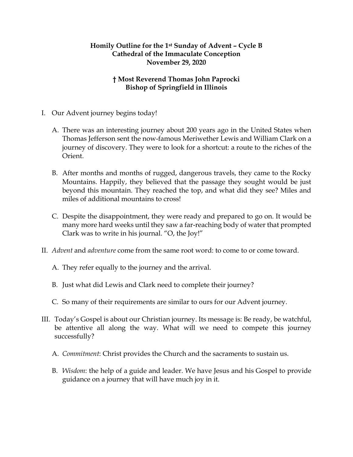## **Homily Outline for the 1st Sunday of Advent – Cycle B Cathedral of the Immaculate Conception November 29, 2020**

## **† Most Reverend Thomas John Paprocki Bishop of Springfield in Illinois**

- I. Our Advent journey begins today!
	- A. There was an interesting journey about 200 years ago in the United States when Thomas Jefferson sent the now-famous Meriwether Lewis and William Clark on a journey of discovery. They were to look for a shortcut: a route to the riches of the Orient.
	- B. After months and months of rugged, dangerous travels, they came to the Rocky Mountains. Happily, they believed that the passage they sought would be just beyond this mountain. They reached the top, and what did they see? Miles and miles of additional mountains to cross!
	- C. Despite the disappointment, they were ready and prepared to go on. It would be many more hard weeks until they saw a far-reaching body of water that prompted Clark was to write in his journal. "O, the Joy!"
- II. *Advent* and *adventure* come from the same root word: to come to or come toward.
	- A. They refer equally to the journey and the arrival.
	- B. Just what did Lewis and Clark need to complete their journey?
	- C. So many of their requirements are similar to ours for our Advent journey.
- III. Today's Gospel is about our Christian journey. Its message is: Be ready, be watchful, be attentive all along the way. What will we need to compete this journey successfully?
	- A. *Commitment*: Christ provides the Church and the sacraments to sustain us.
	- B. *Wisdom*: the help of a guide and leader. We have Jesus and his Gospel to provide guidance on a journey that will have much joy in it.